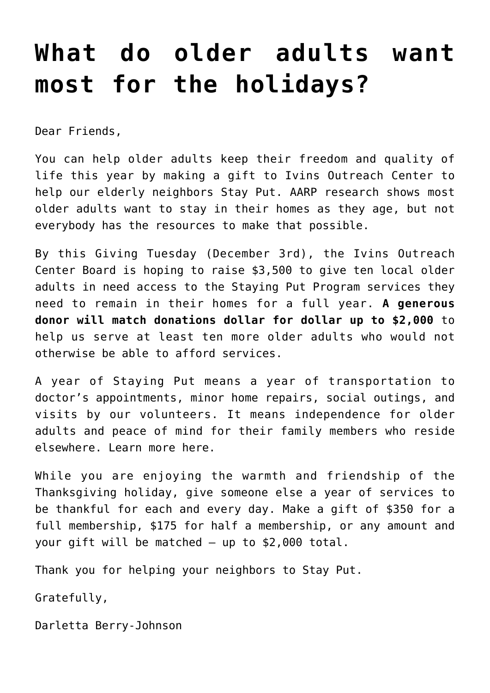## **[What do older adults want](https://www.ivinsoutreach.org/2019/12/what-do-older-adults-want-most-for-the-holidays/) [most for the holidays?](https://www.ivinsoutreach.org/2019/12/what-do-older-adults-want-most-for-the-holidays/)**

Dear Friends,

You can help older adults keep their freedom and quality of life this year by [making a gift](https://www.ivinsoutreach.org/home/fundraising/donations/) to Ivins Outreach Center to help our elderly neighbors Stay Put. AARP research shows most older adults want to stay in their homes as they age, but not everybody has the resources to make that possible.

By this Giving Tuesday (December 3rd), the Ivins Outreach Center Board is hoping to raise \$3,500 to give ten local older adults in need access to the Staying Put Program services they need to remain in their homes for a full year. **A generous donor will match donations dollar for dollar up to \$2,000** to help us serve at least ten more older adults who would not otherwise be able to afford services.

A year of Staying Put means a year of transportation to doctor's appointments, minor home repairs, social outings, and visits by our volunteers. It means independence for older adults and peace of mind for their family members who reside elsewhere. Learn more [here.](https://www.ivinsoutreach.org/home/community-programs/staying-put-in-bucks-county/)

While you are enjoying the warmth and friendship of the Thanksgiving holiday, give someone else a year of services to be thankful for each and every day. [Make a gift](https://www.ivinsoutreach.org/home/fundraising/donations/) of \$350 for a full membership, \$175 for half a membership, or any amount and your gift will be matched – up to \$2,000 total.

Thank you for helping your neighbors to Stay Put.

Gratefully,

Darletta Berry-Johnson